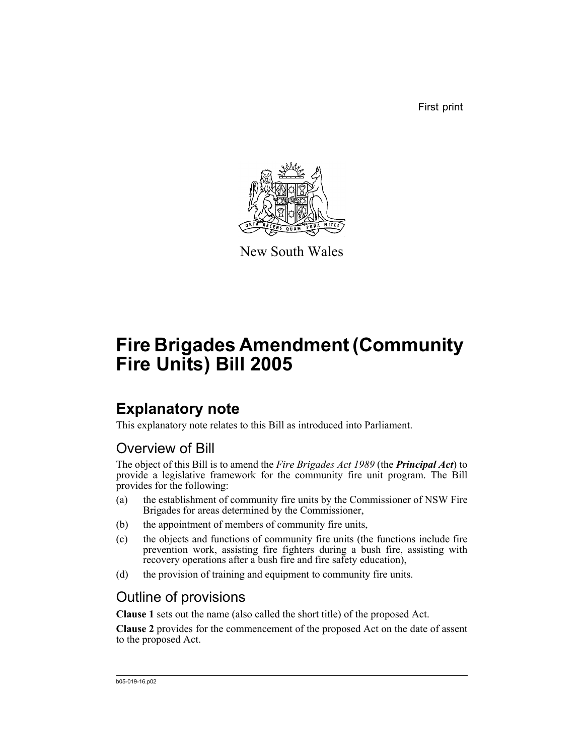First print



New South Wales

# **Fire Brigades Amendment (Community Fire Units) Bill 2005**

## **Explanatory note**

This explanatory note relates to this Bill as introduced into Parliament.

### Overview of Bill

The object of this Bill is to amend the *Fire Brigades Act 1989* (the *Principal Act*) to provide a legislative framework for the community fire unit program. The Bill provides for the following:

- (a) the establishment of community fire units by the Commissioner of NSW Fire Brigades for areas determined by the Commissioner,
- (b) the appointment of members of community fire units,
- (c) the objects and functions of community fire units (the functions include fire prevention work, assisting fire fighters during a bush fire, assisting with recovery operations after a bush fire and fire safety education),
- (d) the provision of training and equipment to community fire units.

## Outline of provisions

**Clause 1** sets out the name (also called the short title) of the proposed Act.

**Clause 2** provides for the commencement of the proposed Act on the date of assent to the proposed Act.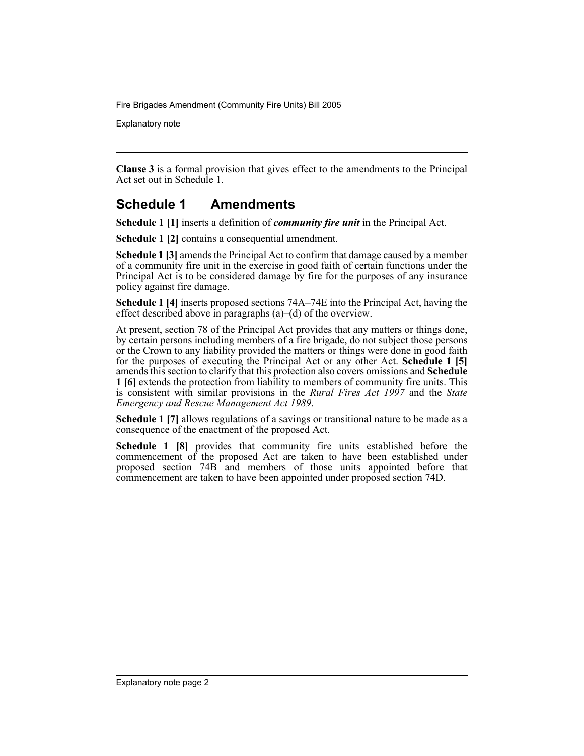Explanatory note

**Clause 3** is a formal provision that gives effect to the amendments to the Principal Act set out in Schedule 1.

#### **Schedule 1 Amendments**

**Schedule 1 [1]** inserts a definition of *community fire unit* in the Principal Act.

**Schedule 1 [2]** contains a consequential amendment.

**Schedule 1 [3]** amends the Principal Act to confirm that damage caused by a member of a community fire unit in the exercise in good faith of certain functions under the Principal Act is to be considered damage by fire for the purposes of any insurance policy against fire damage.

**Schedule 1 [4]** inserts proposed sections 74A–74E into the Principal Act, having the effect described above in paragraphs (a)–(d) of the overview.

At present, section 78 of the Principal Act provides that any matters or things done, by certain persons including members of a fire brigade, do not subject those persons or the Crown to any liability provided the matters or things were done in good faith for the purposes of executing the Principal Act or any other Act. **Schedule 1 [5]** amends this section to clarify that this protection also covers omissions and **Schedule 1 [6]** extends the protection from liability to members of community fire units. This is consistent with similar provisions in the *Rural Fires Act 1997* and the *State Emergency and Rescue Management Act 1989*.

**Schedule 1 [7]** allows regulations of a savings or transitional nature to be made as a consequence of the enactment of the proposed Act.

**Schedule 1 [8]** provides that community fire units established before the commencement of the proposed Act are taken to have been established under proposed section 74B and members of those units appointed before that commencement are taken to have been appointed under proposed section 74D.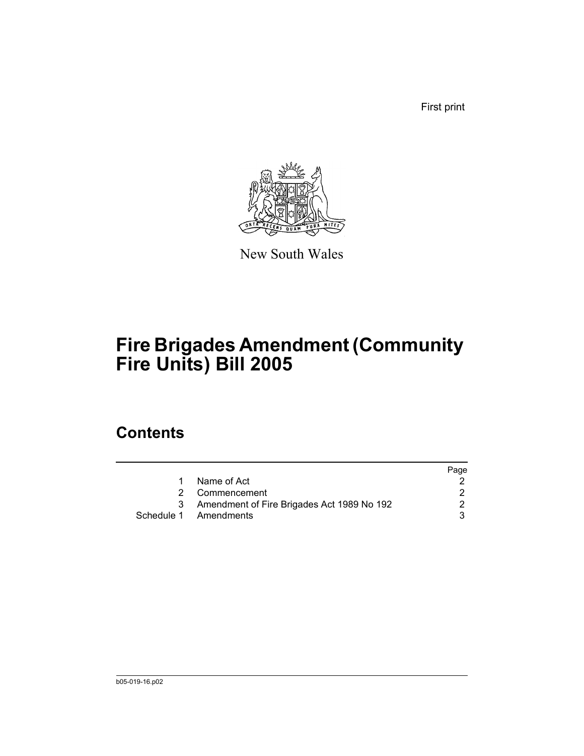First print



New South Wales

# **Fire Brigades Amendment (Community Fire Units) Bill 2005**

## **Contents**

|                                              | Page |
|----------------------------------------------|------|
| Name of Act                                  |      |
| Commencement                                 |      |
| 3 Amendment of Fire Brigades Act 1989 No 192 |      |
| Schedule 1 Amendments                        |      |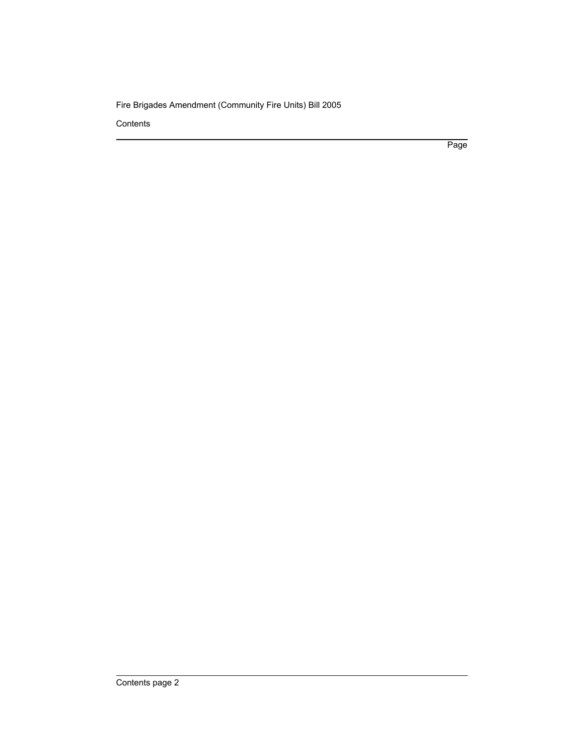**Contents** 

Page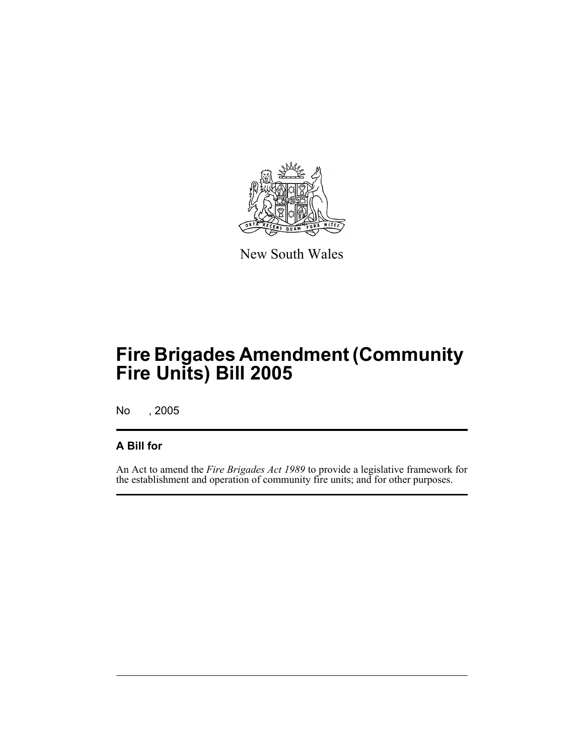

New South Wales

No , 2005

#### **A Bill for**

An Act to amend the *Fire Brigades Act 1989* to provide a legislative framework for the establishment and operation of community fire units; and for other purposes.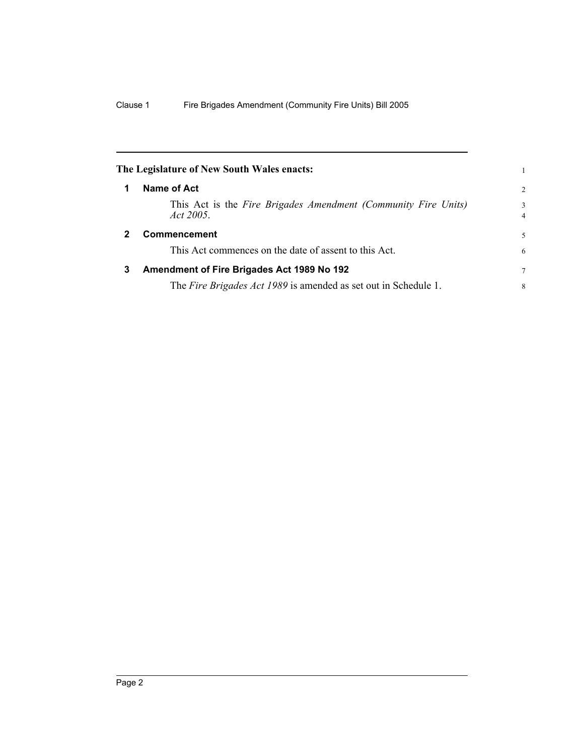| The Legislature of New South Wales enacts: |                                                                             |                     |
|--------------------------------------------|-----------------------------------------------------------------------------|---------------------|
| 1                                          | Name of Act                                                                 | 2                   |
|                                            | This Act is the Fire Brigades Amendment (Community Fire Units)<br>Act 2005. | 3<br>$\overline{4}$ |
| 2                                          | <b>Commencement</b>                                                         | 5                   |
|                                            | This Act commences on the date of assent to this Act.                       | 6                   |
| 3                                          | Amendment of Fire Brigades Act 1989 No 192                                  | 7                   |
|                                            | The Fire Brigades Act 1989 is amended as set out in Schedule 1.             | 8                   |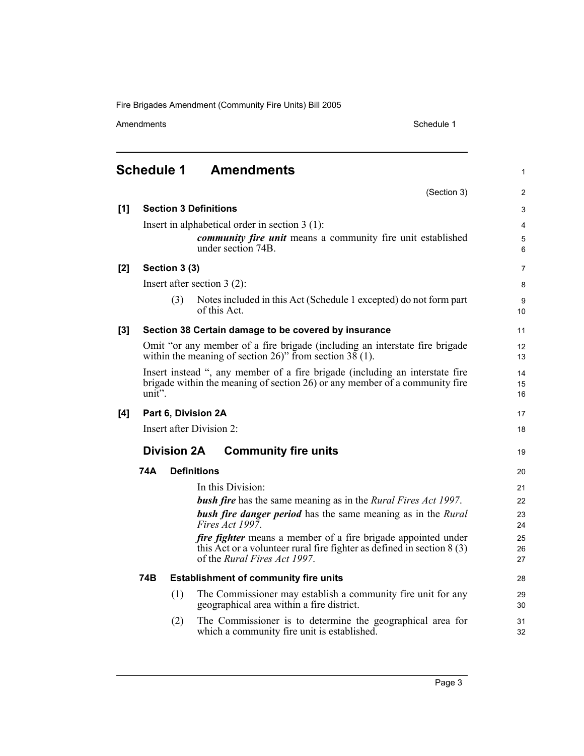Amendments Schedule 1

1

#### **Schedule 1 Amendments**

|     |                                                                                                                                          |                    | (Section 3)                                                                                                                                                                     | $\overline{2}$ |
|-----|------------------------------------------------------------------------------------------------------------------------------------------|--------------------|---------------------------------------------------------------------------------------------------------------------------------------------------------------------------------|----------------|
| [1] |                                                                                                                                          |                    | <b>Section 3 Definitions</b>                                                                                                                                                    | 3              |
|     |                                                                                                                                          |                    | Insert in alphabetical order in section $3(1)$ :                                                                                                                                | 4              |
|     |                                                                                                                                          |                    | <i>community fire unit</i> means a community fire unit established<br>under section 74B.                                                                                        | 5<br>6         |
| [2] |                                                                                                                                          | Section 3 (3)      |                                                                                                                                                                                 | $\overline{7}$ |
|     |                                                                                                                                          |                    | Insert after section $3(2)$ :                                                                                                                                                   | 8              |
|     |                                                                                                                                          | (3)                | Notes included in this Act (Schedule 1 excepted) do not form part<br>of this Act.                                                                                               | 9<br>10        |
| [3] |                                                                                                                                          |                    | Section 38 Certain damage to be covered by insurance                                                                                                                            | 11             |
|     | Omit "or any member of a fire brigade (including an interstate fire brigade<br>within the meaning of section 26)" from section $38(1)$ . |                    | 12<br>13                                                                                                                                                                        |                |
|     | $unit$ .                                                                                                                                 |                    | Insert instead ", any member of a fire brigade (including an interstate fire<br>brigade within the meaning of section 26) or any member of a community fire                     | 14<br>15<br>16 |
| [4] |                                                                                                                                          |                    | Part 6, Division 2A                                                                                                                                                             | 17             |
|     | Insert after Division 2:                                                                                                                 |                    | 18                                                                                                                                                                              |                |
|     |                                                                                                                                          | <b>Division 2A</b> | <b>Community fire units</b>                                                                                                                                                     | 19             |
|     | 74A                                                                                                                                      |                    | <b>Definitions</b>                                                                                                                                                              | 20             |
|     |                                                                                                                                          |                    | In this Division:                                                                                                                                                               | 21             |
|     |                                                                                                                                          |                    | <b>bush fire</b> has the same meaning as in the <i>Rural Fires Act 1997</i> .                                                                                                   | 22             |
|     |                                                                                                                                          |                    | <b>bush fire danger period</b> has the same meaning as in the Rural<br>Fires Act 1997.                                                                                          | 23<br>24       |
|     |                                                                                                                                          |                    | <i>fire fighter</i> means a member of a fire brigade appointed under<br>this Act or a volunteer rural fire fighter as defined in section $8(3)$<br>of the Rural Fires Act 1997. | 25<br>26<br>27 |
|     | 74B                                                                                                                                      |                    | <b>Establishment of community fire units</b>                                                                                                                                    | 28             |
|     |                                                                                                                                          | (1)                | The Commissioner may establish a community fire unit for any<br>geographical area within a fire district.                                                                       | 29<br>30       |
|     |                                                                                                                                          | (2)                | The Commissioner is to determine the geographical area for<br>which a community fire unit is established.                                                                       | 31<br>32       |
|     |                                                                                                                                          |                    |                                                                                                                                                                                 |                |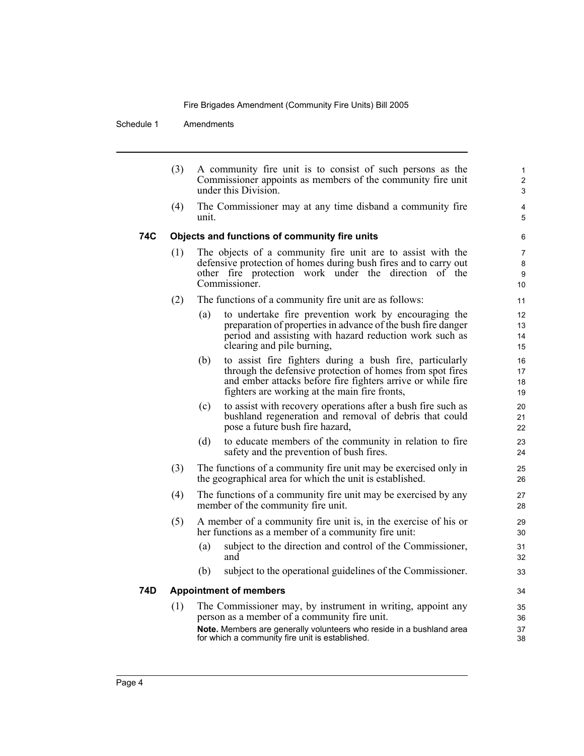Schedule 1 Amendments

|     | (3)                                                                                                                                                                                                              | A community fire unit is to consist of such persons as the<br>Commissioner appoints as members of the community fire unit<br>under this Division.                                                                                            | 1<br>2<br>3          |
|-----|------------------------------------------------------------------------------------------------------------------------------------------------------------------------------------------------------------------|----------------------------------------------------------------------------------------------------------------------------------------------------------------------------------------------------------------------------------------------|----------------------|
|     | (4)                                                                                                                                                                                                              | The Commissioner may at any time disband a community fire<br>unit.                                                                                                                                                                           | 4<br>5               |
| 74C |                                                                                                                                                                                                                  | Objects and functions of community fire units                                                                                                                                                                                                | 6                    |
|     | (1)<br>The objects of a community fire unit are to assist with the<br>defensive protection of homes during bush fires and to carry out<br>other fire protection work under the direction of the<br>Commissioner. |                                                                                                                                                                                                                                              |                      |
|     | (2)                                                                                                                                                                                                              | The functions of a community fire unit are as follows:                                                                                                                                                                                       | 11                   |
|     |                                                                                                                                                                                                                  | to undertake fire prevention work by encouraging the<br>(a)<br>preparation of properties in advance of the bush fire danger<br>period and assisting with hazard reduction work such as<br>clearing and pile burning,                         | 12<br>13<br>14<br>15 |
|     |                                                                                                                                                                                                                  | to assist fire fighters during a bush fire, particularly<br>(b)<br>through the defensive protection of homes from spot fires<br>and ember attacks before fire fighters arrive or while fire<br>fighters are working at the main fire fronts, | 16<br>17<br>18<br>19 |
|     |                                                                                                                                                                                                                  | to assist with recovery operations after a bush fire such as<br>(c)<br>bushland regeneration and removal of debris that could<br>pose a future bush fire hazard,                                                                             | 20<br>21<br>22       |
|     |                                                                                                                                                                                                                  | (d)<br>to educate members of the community in relation to fire<br>safety and the prevention of bush fires.                                                                                                                                   | 23<br>24             |
|     | (3)                                                                                                                                                                                                              | The functions of a community fire unit may be exercised only in<br>the geographical area for which the unit is established.                                                                                                                  | 25<br>26             |
|     | (4)                                                                                                                                                                                                              | The functions of a community fire unit may be exercised by any<br>member of the community fire unit.                                                                                                                                         | 27<br>28             |
|     | (5)                                                                                                                                                                                                              | A member of a community fire unit is, in the exercise of his or<br>her functions as a member of a community fire unit:                                                                                                                       | 29<br>30             |
|     |                                                                                                                                                                                                                  | subject to the direction and control of the Commissioner,<br>(a)<br>and                                                                                                                                                                      | 31<br>32             |
|     |                                                                                                                                                                                                                  | subject to the operational guidelines of the Commissioner.<br>(b)                                                                                                                                                                            | 33                   |
| 74D |                                                                                                                                                                                                                  | <b>Appointment of members</b>                                                                                                                                                                                                                | 34                   |
|     | (1)                                                                                                                                                                                                              | The Commissioner may, by instrument in writing, appoint any<br>person as a member of a community fire unit.<br>Note. Members are generally volunteers who reside in a bushland area                                                          | 35<br>36<br>37       |
|     |                                                                                                                                                                                                                  | for which a community fire unit is established.                                                                                                                                                                                              | 38                   |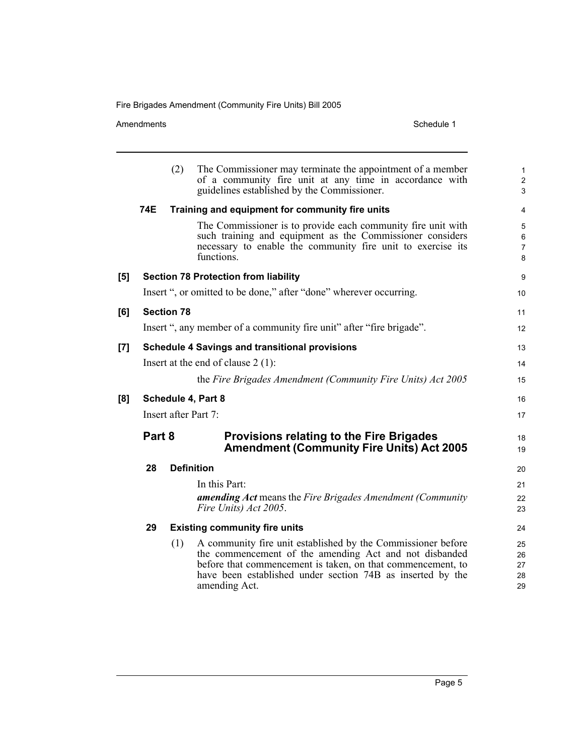Amendments Schedule 1

|     |        | (2)               | The Commissioner may terminate the appointment of a member<br>of a community fire unit at any time in accordance with<br>guidelines established by the Commissioner.                                                                                                 | 1<br>$\overline{\mathbf{c}}$<br>3 |
|-----|--------|-------------------|----------------------------------------------------------------------------------------------------------------------------------------------------------------------------------------------------------------------------------------------------------------------|-----------------------------------|
|     | 74E    |                   | Training and equipment for community fire units                                                                                                                                                                                                                      | 4                                 |
|     |        |                   | The Commissioner is to provide each community fire unit with<br>such training and equipment as the Commissioner considers<br>necessary to enable the community fire unit to exercise its<br>functions.                                                               | 5<br>6<br>7<br>8                  |
| [5] |        |                   | <b>Section 78 Protection from liability</b>                                                                                                                                                                                                                          | 9                                 |
|     |        |                   | Insert ", or omitted to be done," after "done" wherever occurring.                                                                                                                                                                                                   | 10                                |
| [6] |        | <b>Section 78</b> |                                                                                                                                                                                                                                                                      | 11                                |
|     |        |                   | Insert ", any member of a community fire unit" after "fire brigade".                                                                                                                                                                                                 | 12                                |
| [7] |        |                   | <b>Schedule 4 Savings and transitional provisions</b>                                                                                                                                                                                                                | 13                                |
|     |        |                   | Insert at the end of clause $2(1)$ :                                                                                                                                                                                                                                 | 14                                |
|     |        |                   | the Fire Brigades Amendment (Community Fire Units) Act 2005                                                                                                                                                                                                          | 15                                |
| [8] |        |                   | Schedule 4, Part 8                                                                                                                                                                                                                                                   | 16                                |
|     |        |                   | Insert after Part 7:                                                                                                                                                                                                                                                 | 17                                |
|     | Part 8 |                   | <b>Provisions relating to the Fire Brigades</b><br><b>Amendment (Community Fire Units) Act 2005</b>                                                                                                                                                                  | 18<br>19                          |
|     | 28     |                   | <b>Definition</b>                                                                                                                                                                                                                                                    | 20                                |
|     |        |                   | In this Part:                                                                                                                                                                                                                                                        | 21                                |
|     |        |                   | <b>amending Act</b> means the Fire Brigades Amendment (Community<br>Fire Units) Act 2005.                                                                                                                                                                            | 22<br>23                          |
|     | 29     |                   | <b>Existing community fire units</b>                                                                                                                                                                                                                                 | 24                                |
|     |        | (1)               | A community fire unit established by the Commissioner before<br>the commencement of the amending Act and not disbanded<br>before that commencement is taken, on that commencement, to<br>have been established under section 74B as inserted by the<br>amending Act. | 25<br>26<br>27<br>28<br>29        |
|     |        |                   |                                                                                                                                                                                                                                                                      |                                   |